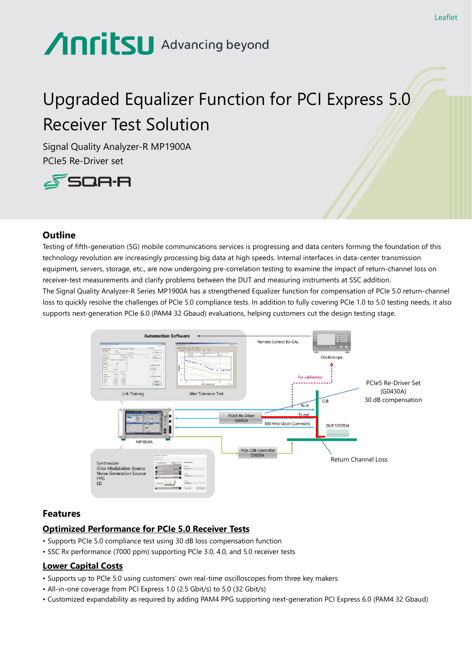# **Anritsu** Advancing beyond

# Upgraded Equalizer Function for PCI Express 5.0 Receiver Test Solution

Signal Quality Analyzer-R MP1900A PCIe5 Re-Driver set



## **Outline**

Testing of fifth-generation (5G) mobile communications services is progressing and data centers forming the foundation of this technology revolution are increasingly processing big data at high speeds. Internal interfaces in data-center transmission equipment, servers, storage, etc., are now undergoing pre-correlation testing to examine the impact of return-channel loss on receiver-test measurements and clarify problems between the DUT and measuring instruments at SSC addition. The Signal Quality Analyzer-R Series MP1900A has a strengthened Equalizer function for compensation of PCIe 5.0 return-channel loss to quickly resolve the challenges of PCIe 5.0 compliance tests. In addition to fully covering PCIe 1.0 to 5.0 testing needs, it also supports next-generation PCIe 6.0 (PAM4 32 Gbaud) evaluations, helping customers cut the design testing stage.



### **Features**

# **Optimized Performance for PCIe 5.0 Receiver Tests**

- Supports PCIe 5.0 compliance test using 30 dB loss compensation function
- SSC Rx performance (7000 ppm) supporting PCIe 3.0, 4.0, and 5.0 receiver tests

# **Lower Capital Costs**

- Supports up to PCIe 5.0 using customers' own real-time oscilloscopes from three key makers
- All-in-one coverage from PCI Express 1.0 (2.5 Gbit/s) to 5.0 (32 Gbit/s)
- Customized expandability as required by adding PAM4 PPG supporting next-generation PCI Express 6.0 (PAM4 32 Gbaud)